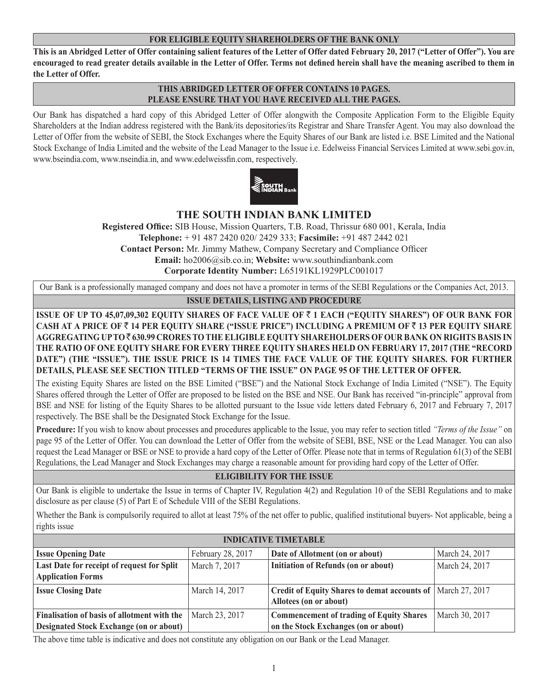# **FOR ELIGIBLE EQUITY SHAREHOLDERS OF THE BANK ONLY**

**This is an Abridged Letter of Offer containing salient features of the Letter of Offer dated February 20, 2017 ("Letter of Offer"). You are encouraged to read greater details available in the Letter of Offer. Terms not defined herein shall have the meaning ascribed to them in the Letter of Offer.**

### **THIS ABRIDGED LETTER OF OFFER CONTAINS 10 PAGES. PLEASE ENSURE THAT YOU HAVE RECEIVED ALL THE PAGES.**

Our Bank has dispatched a hard copy of this Abridged Letter of Offer alongwith the Composite Application Form to the Eligible Equity Shareholders at the Indian address registered with the Bank/its depositories/its Registrar and Share Transfer Agent. You may also download the Letter of Offer from the website of SEBI, the Stock Exchanges where the Equity Shares of our Bank are listed i.e. BSE Limited and the National Stock Exchange of India Limited and the website of the Lead Manager to the Issue i.e. Edelweiss Financial Services Limited at www.sebi.gov.in, www.bseindia.com, www.nseindia.in, and www.edelweissfin.com, respectively.



# **THE SOUTH INDIAN BANK LIMITED**

**Registered Office:** SIB House, Mission Quarters, T.B. Road, Thrissur 680 001, Kerala, India **Telephone:** + 91 487 2420 020/ 2429 333; **Facsimile:** +91 487 2442 021 **Contact Person:** Mr. Jimmy Mathew, Company Secretary and Compliance Officer **Email:** ho2006@sib.co.in; **Website:** www.southindianbank.com **Corporate Identity Number:** L65191KL1929PLC001017

Our Bank is a professionally managed company and does not have a promoter in terms of the SEBI Regulations or the Companies Act, 2013. **ISSUE DETAILS, LISTING AND PROCEDURE**

**ISSUE OF UP TO 45,07,09,302 EQUITY SHARES OF FACE VALUE OF** ` **1 EACH ("EQUITY SHARES") OF OUR BANK FOR CASH AT A PRICE OF** ` **14 PER EQUITY SHARE ("ISSUE PRICE") INCLUDING A PREMIUM OF** ` **13 PER EQUITY SHARE AGGREGATING UP TO** ` **630.99 CRORES TO THE ELIGIBLE EQUITY SHAREHOLDERS OF OUR BANK ON RIGHTS BASIS IN THE RATIO OF ONE EQUITY SHARE FOR EVERY THREE EQUITY SHARES HELD ON FEBRUARY 17, 2017 (THE "RECORD DATE") (THE "ISSUE"). THE ISSUE PRICE IS 14 TIMES THE FACE VALUE OF THE EQUITY SHARES. FOR FURTHER DETAILS, PLEASE SEE SECTION TITLED "TERMS OF THE ISSUE" ON PAGE 95 OF THE LETTER OF OFFER.**

The existing Equity Shares are listed on the BSE Limited ("BSE") and the National Stock Exchange of India Limited ("NSE"). The Equity Shares offered through the Letter of Offer are proposed to be listed on the BSE and NSE. Our Bank has received "in-principle" approval from BSE and NSE for listing of the Equity Shares to be allotted pursuant to the Issue vide letters dated February 6, 2017 and February 7, 2017 respectively. The BSE shall be the Designated Stock Exchange for the Issue.

**Procedure:** If you wish to know about processes and procedures applicable to the Issue, you may refer to section titled *"Terms of the Issue"* on page 95 of the Letter of Offer. You can download the Letter of Offer from the website of SEBI, BSE, NSE or the Lead Manager. You can also request the Lead Manager or BSE or NSE to provide a hard copy of the Letter of Offer. Please note that in terms of Regulation 61(3) of the SEBI Regulations, the Lead Manager and Stock Exchanges may charge a reasonable amount for providing hard copy of the Letter of Offer.

### **ELIGIBILITY FOR THE ISSUE**

Our Bank is eligible to undertake the Issue in terms of Chapter IV, Regulation 4(2) and Regulation 10 of the SEBI Regulations and to make disclosure as per clause (5) of Part E of Schedule VIII of the SEBI Regulations.

Whether the Bank is compulsorily required to allot at least 75% of the net offer to public, qualified institutional buyers- Not applicable, being a rights issue

| <b>INDICATIVE TIMETABLE</b>                    |                   |                                                               |                |  |  |
|------------------------------------------------|-------------------|---------------------------------------------------------------|----------------|--|--|
| <b>Issue Opening Date</b>                      | February 28, 2017 | Date of Allotment (on or about)                               | March 24, 2017 |  |  |
| Last Date for receipt of request for Split     | March 7, 2017     | Initiation of Refunds (on or about)                           | March 24, 2017 |  |  |
| <b>Application Forms</b>                       |                   |                                                               |                |  |  |
| <b>Issue Closing Date</b>                      | March 14, 2017    | Credit of Equity Shares to demat accounts of   March 27, 2017 |                |  |  |
|                                                |                   | Allotees (on or about)                                        |                |  |  |
| Finalisation of basis of allotment with the    | March 23, 2017    | <b>Commencement of trading of Equity Shares</b>               | March 30, 2017 |  |  |
| <b>Designated Stock Exchange (on or about)</b> |                   | on the Stock Exchanges (on or about)                          |                |  |  |

The above time table is indicative and does not constitute any obligation on our Bank or the Lead Manager.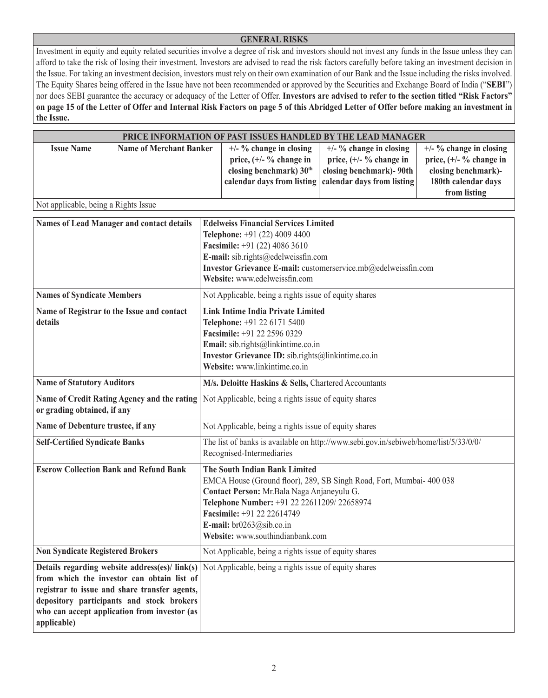# **GENERAL RISKS**

Investment in equity and equity related securities involve a degree of risk and investors should not invest any funds in the Issue unless they can afford to take the risk of losing their investment. Investors are advised to read the risk factors carefully before taking an investment decision in the Issue. For taking an investment decision, investors must rely on their own examination of our Bank and the Issue including the risks involved. The Equity Shares being offered in the Issue have not been recommended or approved by the Securities and Exchange Board of India ("**SEBI**") nor does SEBI guarantee the accuracy or adequacy of the Letter of Offer. **Investors are advised to refer to the section titled "Risk Factors" on page 15 of the Letter of Offer and Internal Risk Factors on page 5 of this Abridged Letter of Offer before making an investment in the Issue.**

| PRICE INFORMATION OF PAST ISSUES HANDLED BY THE LEAD MANAGER               |                                                                                                                                                                                                                                            |                                                                                                                                                                                                                                                         |                                                                                                                                                                                                                                                                                                           |                                                                                                                  |                                                                                                                      |  |
|----------------------------------------------------------------------------|--------------------------------------------------------------------------------------------------------------------------------------------------------------------------------------------------------------------------------------------|---------------------------------------------------------------------------------------------------------------------------------------------------------------------------------------------------------------------------------------------------------|-----------------------------------------------------------------------------------------------------------------------------------------------------------------------------------------------------------------------------------------------------------------------------------------------------------|------------------------------------------------------------------------------------------------------------------|----------------------------------------------------------------------------------------------------------------------|--|
| <b>Issue Name</b>                                                          | <b>Name of Merchant Banker</b>                                                                                                                                                                                                             |                                                                                                                                                                                                                                                         | $+/-$ % change in closing<br>price, $(+/- %$ change in<br>closing benchmark) 30 <sup>th</sup><br>calendar days from listing                                                                                                                                                                               | $+/-$ % change in closing<br>price, $(+/- %$ change in<br>closing benchmark)- 90th<br>calendar days from listing | $+/-$ % change in closing<br>price, $(+/- %$ change in<br>closing benchmark)-<br>180th calendar days<br>from listing |  |
| Not applicable, being a Rights Issue                                       |                                                                                                                                                                                                                                            |                                                                                                                                                                                                                                                         |                                                                                                                                                                                                                                                                                                           |                                                                                                                  |                                                                                                                      |  |
| Names of Lead Manager and contact details                                  |                                                                                                                                                                                                                                            | <b>Edelweiss Financial Services Limited</b><br>Telephone: +91 (22) 4009 4400<br>Facsimile: +91 (22) 4086 3610<br>E-mail: sib.rights@edelweissfin.com<br>Investor Grievance E-mail: customerservice.mb@edelweissfin.com<br>Website: www.edelweissfin.com |                                                                                                                                                                                                                                                                                                           |                                                                                                                  |                                                                                                                      |  |
| <b>Names of Syndicate Members</b>                                          |                                                                                                                                                                                                                                            |                                                                                                                                                                                                                                                         | Not Applicable, being a rights issue of equity shares                                                                                                                                                                                                                                                     |                                                                                                                  |                                                                                                                      |  |
| Name of Registrar to the Issue and contact<br>details                      |                                                                                                                                                                                                                                            |                                                                                                                                                                                                                                                         | <b>Link Intime India Private Limited</b><br>Telephone: +91 22 6171 5400<br>Facsimile: +91 22 2596 0329<br>Email: sib.rights@linkintime.co.in<br>Investor Grievance ID: sib.rights@linkintime.co.in<br>Website: www.linkintime.co.in                                                                       |                                                                                                                  |                                                                                                                      |  |
| <b>Name of Statutory Auditors</b>                                          |                                                                                                                                                                                                                                            |                                                                                                                                                                                                                                                         | M/s. Deloitte Haskins & Sells, Chartered Accountants                                                                                                                                                                                                                                                      |                                                                                                                  |                                                                                                                      |  |
| Name of Credit Rating Agency and the rating<br>or grading obtained, if any |                                                                                                                                                                                                                                            |                                                                                                                                                                                                                                                         | Not Applicable, being a rights issue of equity shares                                                                                                                                                                                                                                                     |                                                                                                                  |                                                                                                                      |  |
| Name of Debenture trustee, if any                                          |                                                                                                                                                                                                                                            | Not Applicable, being a rights issue of equity shares                                                                                                                                                                                                   |                                                                                                                                                                                                                                                                                                           |                                                                                                                  |                                                                                                                      |  |
| <b>Self-Certified Syndicate Banks</b>                                      |                                                                                                                                                                                                                                            | The list of banks is available on http://www.sebi.gov.in/sebiweb/home/list/5/33/0/0/<br>Recognised-Intermediaries                                                                                                                                       |                                                                                                                                                                                                                                                                                                           |                                                                                                                  |                                                                                                                      |  |
|                                                                            | <b>Escrow Collection Bank and Refund Bank</b>                                                                                                                                                                                              |                                                                                                                                                                                                                                                         | <b>The South Indian Bank Limited</b><br>EMCA House (Ground floor), 289, SB Singh Road, Fort, Mumbai- 400 038<br>Contact Person: Mr. Bala Naga Anjaneyulu G.<br>Telephone Number: +91 22 22611209/22658974<br>Facsimile: +91 22 22614749<br>E-mail: $br0263@sib.co.in$<br>Website: www.southindianbank.com |                                                                                                                  |                                                                                                                      |  |
| <b>Non Syndicate Registered Brokers</b>                                    |                                                                                                                                                                                                                                            |                                                                                                                                                                                                                                                         | Not Applicable, being a rights issue of equity shares                                                                                                                                                                                                                                                     |                                                                                                                  |                                                                                                                      |  |
| applicable)                                                                | Details regarding website address(es)/ link(s)<br>from which the investor can obtain list of<br>registrar to issue and share transfer agents,<br>depository participants and stock brokers<br>who can accept application from investor (as |                                                                                                                                                                                                                                                         | Not Applicable, being a rights issue of equity shares                                                                                                                                                                                                                                                     |                                                                                                                  |                                                                                                                      |  |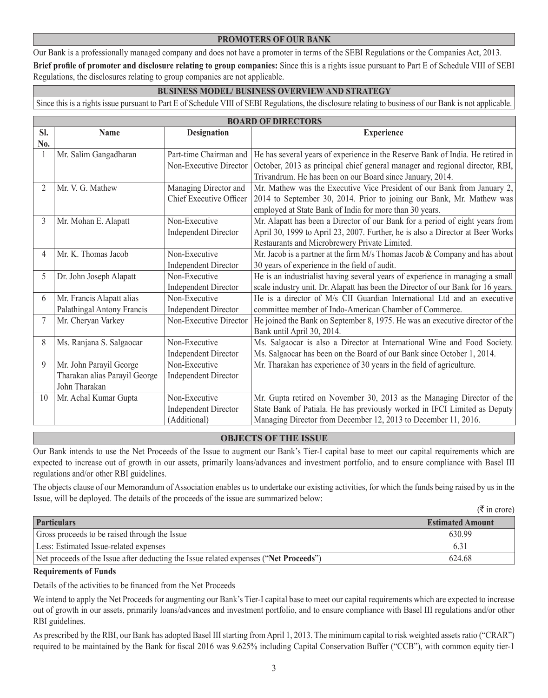#### **PROMOTERS OF OUR BANK**

Our Bank is a professionally managed company and does not have a promoter in terms of the SEBI Regulations or the Companies Act, 2013. **Brief profile of promoter and disclosure relating to group companies:** Since this is a rights issue pursuant to Part E of Schedule VIII of SEBI Regulations, the disclosures relating to group companies are not applicable.

#### **BUSINESS MODEL/ BUSINESS OVERVIEW AND STRATEGY**

Since this is a rights issue pursuant to Part E of Schedule VIII of SEBI Regulations, the disclosure relating to business of our Bank is not applicable.

|                | <b>BOARD OF DIRECTORS</b>     |                             |                                                                                                         |  |  |  |
|----------------|-------------------------------|-----------------------------|---------------------------------------------------------------------------------------------------------|--|--|--|
| SI.            | <b>Name</b>                   | <b>Designation</b>          | <b>Experience</b>                                                                                       |  |  |  |
| No.            |                               |                             |                                                                                                         |  |  |  |
|                | Mr. Salim Gangadharan         |                             | Part-time Chairman and   He has several years of experience in the Reserve Bank of India. He retired in |  |  |  |
|                |                               | Non-Executive Director      | October, 2013 as principal chief general manager and regional director, RBI,                            |  |  |  |
|                |                               |                             | Trivandrum. He has been on our Board since January, 2014.                                               |  |  |  |
| $\overline{2}$ | Mr. V. G. Mathew              | Managing Director and       | Mr. Mathew was the Executive Vice President of our Bank from January 2,                                 |  |  |  |
|                |                               | Chief Executive Officer     | 2014 to September 30, 2014. Prior to joining our Bank, Mr. Mathew was                                   |  |  |  |
|                |                               |                             | employed at State Bank of India for more than 30 years.                                                 |  |  |  |
| 3              | Mr. Mohan E. Alapatt          | Non-Executive               | Mr. Alapatt has been a Director of our Bank for a period of eight years from                            |  |  |  |
|                |                               | <b>Independent Director</b> | April 30, 1999 to April 23, 2007. Further, he is also a Director at Beer Works                          |  |  |  |
|                |                               |                             | Restaurants and Microbrewery Private Limited.                                                           |  |  |  |
| $\overline{4}$ | Mr. K. Thomas Jacob           | Non-Executive               | Mr. Jacob is a partner at the firm $M/s$ Thomas Jacob & Company and has about                           |  |  |  |
|                |                               | <b>Independent Director</b> | 30 years of experience in the field of audit.                                                           |  |  |  |
| 5              | Dr. John Joseph Alapatt       | Non-Executive               | He is an industrialist having several years of experience in managing a small                           |  |  |  |
|                |                               | <b>Independent Director</b> | scale industry unit. Dr. Alapatt has been the Director of our Bank for 16 years.                        |  |  |  |
| 6              | Mr. Francis Alapatt alias     | Non-Executive               | He is a director of M/s CII Guardian International Ltd and an executive                                 |  |  |  |
|                | Palathingal Antony Francis    | <b>Independent Director</b> | committee member of Indo-American Chamber of Commerce.                                                  |  |  |  |
|                | Mr. Cheryan Varkey            | Non-Executive Director      | He joined the Bank on September 8, 1975. He was an executive director of the                            |  |  |  |
|                |                               |                             | Bank until April 30, 2014.                                                                              |  |  |  |
| 8              | Ms. Ranjana S. Salgaocar      | Non-Executive               | Ms. Salgaocar is also a Director at International Wine and Food Society.                                |  |  |  |
|                |                               | <b>Independent Director</b> | Ms. Salgaocar has been on the Board of our Bank since October 1, 2014.                                  |  |  |  |
| 9              | Mr. John Parayil George       | Non-Executive               | Mr. Tharakan has experience of 30 years in the field of agriculture.                                    |  |  |  |
|                | Tharakan alias Parayil George | <b>Independent Director</b> |                                                                                                         |  |  |  |
|                | John Tharakan                 |                             |                                                                                                         |  |  |  |
| 10             | Mr. Achal Kumar Gupta         | Non-Executive               | Mr. Gupta retired on November 30, 2013 as the Managing Director of the                                  |  |  |  |
|                |                               | <b>Independent Director</b> | State Bank of Patiala. He has previously worked in IFCI Limited as Deputy                               |  |  |  |
|                |                               | (Additional)                | Managing Director from December 12, 2013 to December 11, 2016.                                          |  |  |  |

### **OBJECTS OF THE ISSUE**

Our Bank intends to use the Net Proceeds of the Issue to augment our Bank's Tier-I capital base to meet our capital requirements which are expected to increase out of growth in our assets, primarily loans/advances and investment portfolio, and to ensure compliance with Basel III regulations and/or other RBI guidelines.

The objects clause of our Memorandum of Association enables us to undertake our existing activities, for which the funds being raised by us in the Issue, will be deployed. The details of the proceeds of the issue are summarized below:

 $(\overline{\xi}$  in crore)

| <b>Particulars</b>                                                                    | <b>Estimated Amount</b> |  |
|---------------------------------------------------------------------------------------|-------------------------|--|
| Gross proceeds to be raised through the Issue                                         | 630.99                  |  |
| Less: Estimated Issue-related expenses                                                |                         |  |
| Net proceeds of the Issue after deducting the Issue related expenses ("Net Proceeds") | 624.68                  |  |

#### **Requirements of Funds**

Details of the activities to be financed from the Net Proceeds

We intend to apply the Net Proceeds for augmenting our Bank's Tier-I capital base to meet our capital requirements which are expected to increase out of growth in our assets, primarily loans/advances and investment portfolio, and to ensure compliance with Basel III regulations and/or other RBI guidelines.

As prescribed by the RBI, our Bank has adopted Basel III starting from April 1, 2013. The minimum capital to risk weighted assets ratio ("CRAR") required to be maintained by the Bank for fiscal 2016 was 9.625% including Capital Conservation Buffer ("CCB"), with common equity tier-1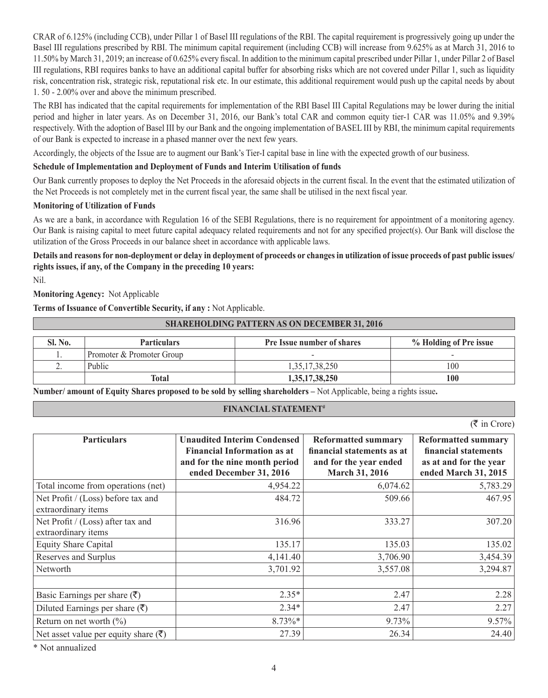CRAR of 6.125% (including CCB), under Pillar 1 of Basel III regulations of the RBI. The capital requirement is progressively going up under the Basel III regulations prescribed by RBI. The minimum capital requirement (including CCB) will increase from 9.625% as at March 31, 2016 to 11.50% by March 31, 2019; an increase of 0.625% every fiscal. In addition to the minimum capital prescribed under Pillar 1, under Pillar 2 of Basel III regulations, RBI requires banks to have an additional capital buffer for absorbing risks which are not covered under Pillar 1, such as liquidity risk, concentration risk, strategic risk, reputational risk etc. In our estimate, this additional requirement would push up the capital needs by about 1. 50 - 2.00% over and above the minimum prescribed.

The RBI has indicated that the capital requirements for implementation of the RBI Basel III Capital Regulations may be lower during the initial period and higher in later years. As on December 31, 2016, our Bank's total CAR and common equity tier-1 CAR was 11.05% and 9.39% respectively. With the adoption of Basel III by our Bank and the ongoing implementation of BASEL III by RBI, the minimum capital requirements of our Bank is expected to increase in a phased manner over the next few years.

Accordingly, the objects of the Issue are to augment our Bank's Tier-I capital base in line with the expected growth of our business.

### **Schedule of Implementation and Deployment of Funds and Interim Utilisation of funds**

Our Bank currently proposes to deploy the Net Proceeds in the aforesaid objects in the current fiscal. In the event that the estimated utilization of the Net Proceeds is not completely met in the current fiscal year, the same shall be utilised in the next fiscal year.

#### **Monitoring of Utilization of Funds**

As we are a bank, in accordance with Regulation 16 of the SEBI Regulations, there is no requirement for appointment of a monitoring agency. Our Bank is raising capital to meet future capital adequacy related requirements and not for any specified project(s). Our Bank will disclose the utilization of the Gross Proceeds in our balance sheet in accordance with applicable laws.

# **Details and reasons for non-deployment or delay in deployment of proceeds or changes in utilization of issue proceeds of past public issues/ rights issues, if any, of the Company in the preceding 10 years:**

Nil.

#### **Monitoring Agency:** Not Applicable

**Terms of Issuance of Convertible Security, if any :** Not Applicable.

| <b>SHAREHOLDING PATTERN AS ON DECEMBER 31, 2016</b>                                          |                             |                |     |  |  |
|----------------------------------------------------------------------------------------------|-----------------------------|----------------|-----|--|--|
| Sl. No.<br>% Holding of Pre issue<br><b>Particulars</b><br><b>Pre Issue number of shares</b> |                             |                |     |  |  |
|                                                                                              | Promoter $&$ Promoter Group |                |     |  |  |
|                                                                                              | Public                      | 1,35,17,38,250 | 100 |  |  |
|                                                                                              | Total                       | 1,35,17,38,250 | 100 |  |  |

**Number/ amount of Equity Shares proposed to be sold by selling shareholders –** Not Applicable, being a rights issue**.**

#### **FINANCIAL STATEMENT#**

 $(\overline{\mathfrak{F}}$  in Crore)

| <b>Particulars</b>                                        | <b>Unaudited Interim Condensed</b><br><b>Financial Information as at</b><br>and for the nine month period<br>ended December 31, 2016 | <b>Reformatted summary</b><br>financial statements as at<br>and for the year ended<br>March 31, 2016 | <b>Reformatted summary</b><br>financial statements<br>as at and for the year<br>ended March 31, 2015 |
|-----------------------------------------------------------|--------------------------------------------------------------------------------------------------------------------------------------|------------------------------------------------------------------------------------------------------|------------------------------------------------------------------------------------------------------|
| Total income from operations (net)                        | 4,954.22                                                                                                                             | 6,074.62                                                                                             | 5,783.29                                                                                             |
| Net Profit / (Loss) before tax and<br>extraordinary items | 484.72                                                                                                                               | 509.66                                                                                               | 467.95                                                                                               |
| Net Profit / (Loss) after tax and<br>extraordinary items  | 316.96                                                                                                                               | 333.27                                                                                               | 307.20                                                                                               |
| <b>Equity Share Capital</b>                               | 135.17                                                                                                                               | 135.03                                                                                               | 135.02                                                                                               |
| Reserves and Surplus                                      | 4,141.40                                                                                                                             | 3,706.90                                                                                             | 3,454.39                                                                                             |
| Networth                                                  | 3,701.92                                                                                                                             | 3,557.08                                                                                             | 3,294.87                                                                                             |
| Basic Earnings per share $(\overline{\tau})$              | $2.35*$                                                                                                                              | 2.47                                                                                                 | 2.28                                                                                                 |
| Diluted Earnings per share $(\bar{\zeta})$                | $2.34*$                                                                                                                              | 2.47                                                                                                 | 2.27                                                                                                 |
| Return on net worth $(\% )$                               | 8.73%*                                                                                                                               | 9.73%                                                                                                | $9.57\%$                                                                                             |
| Net asset value per equity share $(\overline{\zeta})$     | 27.39                                                                                                                                | 26.34                                                                                                | 24.40                                                                                                |

\* Not annualized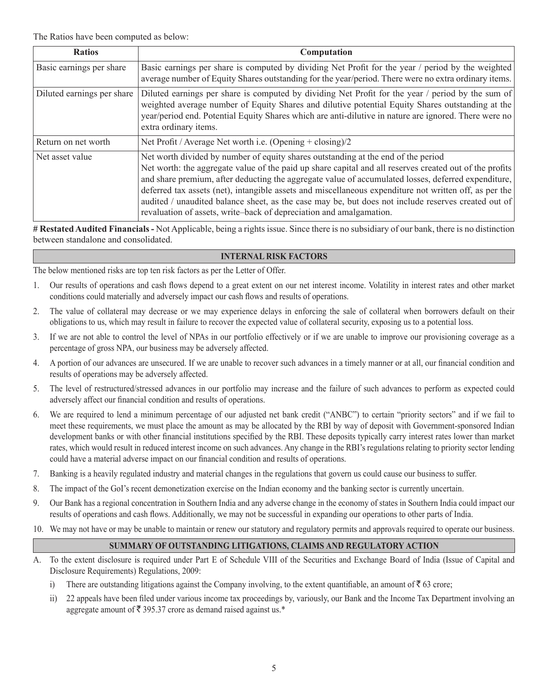The Ratios have been computed as below:

| <b>Ratios</b>              | Computation                                                                                                                                                                                                                                                                                                                                                                                                                                                                                                                                                                                 |
|----------------------------|---------------------------------------------------------------------------------------------------------------------------------------------------------------------------------------------------------------------------------------------------------------------------------------------------------------------------------------------------------------------------------------------------------------------------------------------------------------------------------------------------------------------------------------------------------------------------------------------|
| Basic earnings per share   | Basic earnings per share is computed by dividing Net Profit for the year / period by the weighted<br>average number of Equity Shares outstanding for the year/period. There were no extra ordinary items.                                                                                                                                                                                                                                                                                                                                                                                   |
| Diluted earnings per share | Diluted earnings per share is computed by dividing Net Profit for the year / period by the sum of<br>weighted average number of Equity Shares and dilutive potential Equity Shares outstanding at the<br>year/period end. Potential Equity Shares which are anti-dilutive in nature are ignored. There were no<br>extra ordinary items.                                                                                                                                                                                                                                                     |
| Return on net worth        | Net Profit / Average Net worth i.e. (Opening + closing)/2                                                                                                                                                                                                                                                                                                                                                                                                                                                                                                                                   |
| Net asset value            | Net worth divided by number of equity shares outstanding at the end of the period<br>Net worth: the aggregate value of the paid up share capital and all reserves created out of the profits<br>and share premium, after deducting the aggregate value of accumulated losses, deferred expenditure,<br>deferred tax assets (net), intangible assets and miscellaneous expenditure not written off, as per the<br>audited / unaudited balance sheet, as the case may be, but does not include reserves created out of<br>revaluation of assets, write-back of depreciation and amalgamation. |

**# Restated Audited Financials -** Not Applicable, being a rights issue. Since there is no subsidiary of our bank, there is no distinction between standalone and consolidated.

#### **INTERNAL RISK FACTORS**

The below mentioned risks are top ten risk factors as per the Letter of Offer.

- 1. Our results of operations and cash flows depend to a great extent on our net interest income. Volatility in interest rates and other market conditions could materially and adversely impact our cash flows and results of operations.
- 2. The value of collateral may decrease or we may experience delays in enforcing the sale of collateral when borrowers default on their obligations to us, which may result in failure to recover the expected value of collateral security, exposing us to a potential loss.
- 3. If we are not able to control the level of NPAs in our portfolio effectively or if we are unable to improve our provisioning coverage as a percentage of gross NPA, our business may be adversely affected.
- 4. A portion of our advances are unsecured. If we are unable to recover such advances in a timely manner or at all, our financial condition and results of operations may be adversely affected.
- 5. The level of restructured/stressed advances in our portfolio may increase and the failure of such advances to perform as expected could adversely affect our financial condition and results of operations.
- 6. We are required to lend a minimum percentage of our adjusted net bank credit ("ANBC") to certain "priority sectors" and if we fail to meet these requirements, we must place the amount as may be allocated by the RBI by way of deposit with Government-sponsored Indian development banks or with other financial institutions specified by the RBI. These deposits typically carry interest rates lower than market rates, which would result in reduced interest income on such advances. Any change in the RBI's regulations relating to priority sector lending could have a material adverse impact on our financial condition and results of operations.
- 7. Banking is a heavily regulated industry and material changes in the regulations that govern us could cause our business to suffer.
- 8. The impact of the GoI's recent demonetization exercise on the Indian economy and the banking sector is currently uncertain.
- 9. Our Bank has a regional concentration in Southern India and any adverse change in the economy of states in Southern India could impact our results of operations and cash flows. Additionally, we may not be successful in expanding our operations to other parts of India.
- 10. We may not have or may be unable to maintain or renew our statutory and regulatory permits and approvals required to operate our business.

#### **SUMMARY OF OUTSTANDING LITIGATIONS, CLAIMS AND REGULATORY ACTION**

- A. To the extent disclosure is required under Part E of Schedule VIII of the Securities and Exchange Board of India (Issue of Capital and Disclosure Requirements) Regulations, 2009:
	- i) There are outstanding litigations against the Company involving, to the extent quantifiable, an amount of  $\bar{z}$  63 crore;
	- ii) 22 appeals have been filed under various income tax proceedings by, variously, our Bank and the Income Tax Department involving an aggregate amount of  $\bar{\bar{\xi}}$  395.37 crore as demand raised against us.\*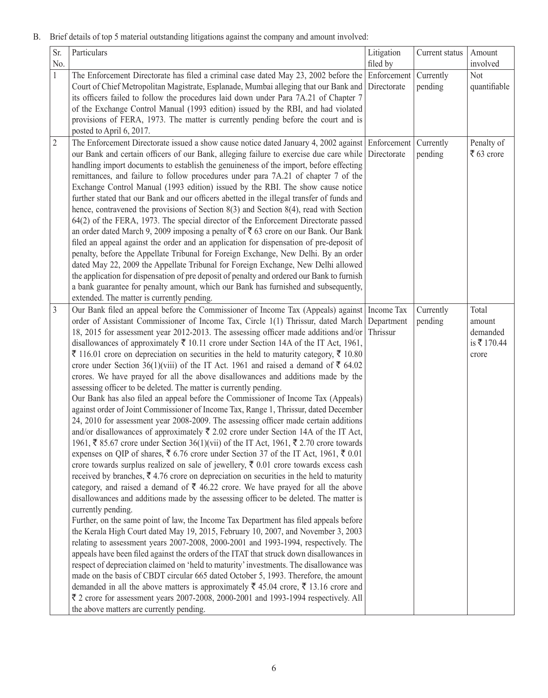B. Brief details of top 5 material outstanding litigations against the company and amount involved:

| Sr.<br>No.   | Particulars                                                                                                                                                                                                                                                                                                                                                                                                                                                                                                                                                                                                                                                                                                                                                                                                                                                                                                                                                                                                                                                                                                                                                                                                                                                                                                                                                                                                                                                                                                                                                                                                                                                                                                                                                                                                                                                                                                                                                                                                                                                                                                                                                                                                                                                                                                                                                                                                                                                                                         | Litigation<br>filed by | Current status       | Amount<br>involved                                  |
|--------------|-----------------------------------------------------------------------------------------------------------------------------------------------------------------------------------------------------------------------------------------------------------------------------------------------------------------------------------------------------------------------------------------------------------------------------------------------------------------------------------------------------------------------------------------------------------------------------------------------------------------------------------------------------------------------------------------------------------------------------------------------------------------------------------------------------------------------------------------------------------------------------------------------------------------------------------------------------------------------------------------------------------------------------------------------------------------------------------------------------------------------------------------------------------------------------------------------------------------------------------------------------------------------------------------------------------------------------------------------------------------------------------------------------------------------------------------------------------------------------------------------------------------------------------------------------------------------------------------------------------------------------------------------------------------------------------------------------------------------------------------------------------------------------------------------------------------------------------------------------------------------------------------------------------------------------------------------------------------------------------------------------------------------------------------------------------------------------------------------------------------------------------------------------------------------------------------------------------------------------------------------------------------------------------------------------------------------------------------------------------------------------------------------------------------------------------------------------------------------------------------------------|------------------------|----------------------|-----------------------------------------------------|
| $\mathbf{1}$ | The Enforcement Directorate has filed a criminal case dated May 23, 2002 before the<br>Court of Chief Metropolitan Magistrate, Esplanade, Mumbai alleging that our Bank and Directorate<br>its officers failed to follow the procedures laid down under Para 7A.21 of Chapter 7<br>of the Exchange Control Manual (1993 edition) issued by the RBI, and had violated<br>provisions of FERA, 1973. The matter is currently pending before the court and is<br>posted to April 6, 2017.                                                                                                                                                                                                                                                                                                                                                                                                                                                                                                                                                                                                                                                                                                                                                                                                                                                                                                                                                                                                                                                                                                                                                                                                                                                                                                                                                                                                                                                                                                                                                                                                                                                                                                                                                                                                                                                                                                                                                                                                               | Enforcement            | Currently<br>pending | <b>Not</b><br>quantifiable                          |
| $\sqrt{2}$   | The Enforcement Directorate issued a show cause notice dated January 4, 2002 against Enforcement<br>our Bank and certain officers of our Bank, alleging failure to exercise due care while Directorate<br>handling import documents to establish the genuineness of the import, before effecting<br>remittances, and failure to follow procedures under para 7A.21 of chapter 7 of the<br>Exchange Control Manual (1993 edition) issued by the RBI. The show cause notice<br>further stated that our Bank and our officers abetted in the illegal transfer of funds and<br>hence, contravened the provisions of Section 8(3) and Section 8(4), read with Section<br>64(2) of the FERA, 1973. The special director of the Enforcement Directorate passed<br>an order dated March 9, 2009 imposing a penalty of $\overline{\xi}$ 63 crore on our Bank. Our Bank<br>filed an appeal against the order and an application for dispensation of pre-deposit of<br>penalty, before the Appellate Tribunal for Foreign Exchange, New Delhi. By an order<br>dated May 22, 2009 the Appellate Tribunal for Foreign Exchange, New Delhi allowed<br>the application for dispensation of pre deposit of penalty and ordered our Bank to furnish<br>a bank guarantee for penalty amount, which our Bank has furnished and subsequently,<br>extended. The matter is currently pending.                                                                                                                                                                                                                                                                                                                                                                                                                                                                                                                                                                                                                                                                                                                                                                                                                                                                                                                                                                                                                                                                                                                             |                        | Currently<br>pending | Penalty of<br>₹ 63 crore                            |
| 3            | Our Bank filed an appeal before the Commissioner of Income Tax (Appeals) against   Income Tax<br>order of Assistant Commissioner of Income Tax, Circle 1(1) Thrissur, dated March<br>18, 2015 for assessment year 2012-2013. The assessing officer made additions and/or<br>disallowances of approximately $\bar{\tau}$ 10.11 crore under Section 14A of the IT Act, 1961,<br>₹ 116.01 crore on depreciation on securities in the held to maturity category, ₹ 10.80<br>crore under Section 36(1)(viii) of the IT Act. 1961 and raised a demand of ₹ 64.02<br>crores. We have prayed for all the above disallowances and additions made by the<br>assessing officer to be deleted. The matter is currently pending.<br>Our Bank has also filed an appeal before the Commissioner of Income Tax (Appeals)<br>against order of Joint Commissioner of Income Tax, Range 1, Thrissur, dated December<br>24, 2010 for assessment year 2008-2009. The assessing officer made certain additions<br>and/or disallowances of approximately $\bar{\tau}$ 2.02 crore under Section 14A of the IT Act,<br>1961, ₹85.67 crore under Section 36(1)(vii) of the IT Act, 1961, ₹2.70 crore towards<br>expenses on QIP of shares, ₹ 6.76 crore under Section 37 of the IT Act, 1961, ₹ 0.01<br>crore towards surplus realized on sale of jewellery, $\bar{\tau}$ 0.01 crore towards excess cash<br>received by branches, $\bar{\xi}$ 4.76 crore on depreciation on securities in the held to maturity<br>category, and raised a demand of $\bar{\tau}$ 46.22 crore. We have prayed for all the above<br>disallowances and additions made by the assessing officer to be deleted. The matter is<br>currently pending.<br>Further, on the same point of law, the Income Tax Department has filed appeals before<br>the Kerala High Court dated May 19, 2015, February 10, 2007, and November 3, 2003<br>relating to assessment years 2007-2008, 2000-2001 and 1993-1994, respectively. The<br>appeals have been filed against the orders of the ITAT that struck down disallowances in<br>respect of depreciation claimed on 'held to maturity' investments. The disallowance was<br>made on the basis of CBDT circular 665 dated October 5, 1993. Therefore, the amount<br>demanded in all the above matters is approximately $\bar{\xi}$ 45.04 crore, $\bar{\xi}$ 13.16 crore and<br>₹ 2 crore for assessment years 2007-2008, 2000-2001 and 1993-1994 respectively. All<br>the above matters are currently pending. | Department<br>Thrissur | Currently<br>pending | Total<br>amount<br>demanded<br>is ₹ 170.44<br>crore |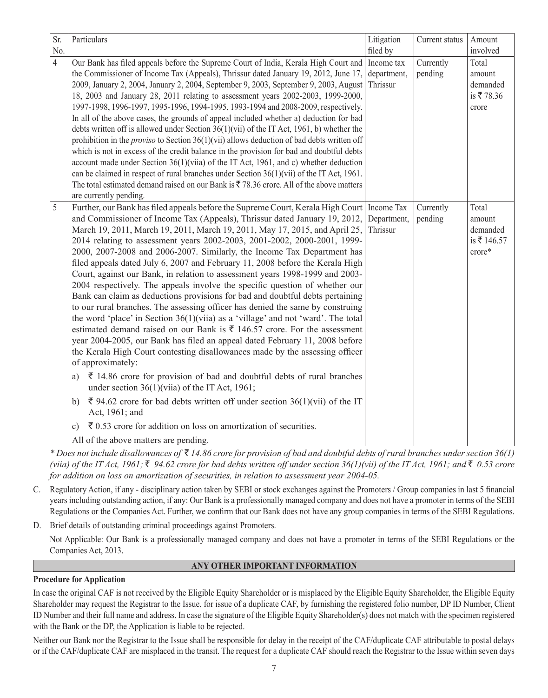| Sr.                   | Particulars                                                                                                                                                                                                                                                                                                                                                                                                                                                                                                                                                                                                                                                                                                                                                                                                                                                                                                                                                                                                                                                                                                                                                                                                                                                                                                                                                                                                                                                                                                                                                                                                                     | Litigation                                        | Current status       | Amount                                                        |
|-----------------------|---------------------------------------------------------------------------------------------------------------------------------------------------------------------------------------------------------------------------------------------------------------------------------------------------------------------------------------------------------------------------------------------------------------------------------------------------------------------------------------------------------------------------------------------------------------------------------------------------------------------------------------------------------------------------------------------------------------------------------------------------------------------------------------------------------------------------------------------------------------------------------------------------------------------------------------------------------------------------------------------------------------------------------------------------------------------------------------------------------------------------------------------------------------------------------------------------------------------------------------------------------------------------------------------------------------------------------------------------------------------------------------------------------------------------------------------------------------------------------------------------------------------------------------------------------------------------------------------------------------------------------|---------------------------------------------------|----------------------|---------------------------------------------------------------|
|                       |                                                                                                                                                                                                                                                                                                                                                                                                                                                                                                                                                                                                                                                                                                                                                                                                                                                                                                                                                                                                                                                                                                                                                                                                                                                                                                                                                                                                                                                                                                                                                                                                                                 |                                                   |                      |                                                               |
| No.<br>$\overline{4}$ | Our Bank has filed appeals before the Supreme Court of India, Kerala High Court and<br>the Commissioner of Income Tax (Appeals), Thrissur dated January 19, 2012, June 17,<br>2009, January 2, 2004, January 2, 2004, September 9, 2003, September 9, 2003, August<br>18, 2003 and January 28, 2011 relating to assessment years 2002-2003, 1999-2000,<br>1997-1998, 1996-1997, 1995-1996, 1994-1995, 1993-1994 and 2008-2009, respectively.<br>In all of the above cases, the grounds of appeal included whether a) deduction for bad<br>debts written off is allowed under Section $36(1)(vii)$ of the IT Act, 1961, b) whether the<br>prohibition in the <i>proviso</i> to Section $36(1)(\n{\rm vii})$ allows deduction of bad debts written off<br>which is not in excess of the credit balance in the provision for bad and doubtful debts<br>account made under Section $36(1)(via)$ of the IT Act, 1961, and c) whether deduction<br>can be claimed in respect of rural branches under Section $36(1)(vii)$ of the IT Act, 1961.<br>The total estimated demand raised on our Bank is $\overline{5}$ 78.36 crore. All of the above matters                                                                                                                                                                                                                                                                                                                                                                                                                                                                               | filed by<br>Income tax<br>department,<br>Thrissur | Currently<br>pending | involved<br>Total<br>amount<br>demanded<br>is ₹78.36<br>crore |
| 5                     | are currently pending.<br>Further, our Bank has filed appeals before the Supreme Court, Kerala High Court   Income Tax<br>and Commissioner of Income Tax (Appeals), Thrissur dated January 19, 2012,<br>March 19, 2011, March 19, 2011, March 19, 2011, May 17, 2015, and April 25,<br>2014 relating to assessment years 2002-2003, 2001-2002, 2000-2001, 1999-<br>2000, 2007-2008 and 2006-2007. Similarly, the Income Tax Department has<br>filed appeals dated July 6, 2007 and February 11, 2008 before the Kerala High<br>Court, against our Bank, in relation to assessment years 1998-1999 and 2003-<br>2004 respectively. The appeals involve the specific question of whether our<br>Bank can claim as deductions provisions for bad and doubtful debts pertaining<br>to our rural branches. The assessing officer has denied the same by construing<br>the word 'place' in Section $36(1)$ (viia) as a 'village' and not 'ward'. The total<br>estimated demand raised on our Bank is $\bar{\tau}$ 146.57 crore. For the assessment<br>year 2004-2005, our Bank has filed an appeal dated February 11, 2008 before<br>the Kerala High Court contesting disallowances made by the assessing officer<br>of approximately:<br>$\bar{\xi}$ 14.86 crore for provision of bad and doubtful debts of rural branches<br>a)<br>under section $36(1)$ (viia) of the IT Act, 1961;<br>₹ 94.62 crore for bad debts written off under section 36(1)(vii) of the IT<br>b)<br>Act, 1961; and<br>$\bar{\xi}$ 0.53 crore for addition on loss on amortization of securities.<br>$\mathbf{c}$ )<br>All of the above matters are pending. | Department,<br>Thrissur                           | Currently<br>pending | Total<br>amount<br>demanded<br>is ₹ 146.57<br>crore*          |

*\* Does not include disallowances of* ` *14.86 crore for provision of bad and doubtful debts of rural branches under section 36(1) (viia) of the IT Act, 1961;* ` *94.62 crore for bad debts written off under section 36(1)(vii) of the IT Act, 1961; and* ` *0.53 crore for addition on loss on amortization of securities, in relation to assessment year 2004-05.*

- C. Regulatory Action, if any disciplinary action taken by SEBI or stock exchanges against the Promoters / Group companies in last 5 financial years including outstanding action, if any: Our Bank is a professionally managed company and does not have a promoter in terms of the SEBI Regulations or the Companies Act. Further, we confirm that our Bank does not have any group companies in terms of the SEBI Regulations.
- D. Brief details of outstanding criminal proceedings against Promoters.

Not Applicable: Our Bank is a professionally managed company and does not have a promoter in terms of the SEBI Regulations or the Companies Act, 2013.

### **ANY OTHER IMPORTANT INFORMATION**

### **Procedure for Application**

In case the original CAF is not received by the Eligible Equity Shareholder or is misplaced by the Eligible Equity Shareholder, the Eligible Equity Shareholder may request the Registrar to the Issue, for issue of a duplicate CAF, by furnishing the registered folio number, DP ID Number, Client ID Number and their full name and address. In case the signature of the Eligible Equity Shareholder(s) does not match with the specimen registered with the Bank or the DP, the Application is liable to be rejected.

Neither our Bank nor the Registrar to the Issue shall be responsible for delay in the receipt of the CAF/duplicate CAF attributable to postal delays or if the CAF/duplicate CAF are misplaced in the transit. The request for a duplicate CAF should reach the Registrar to the Issue within seven days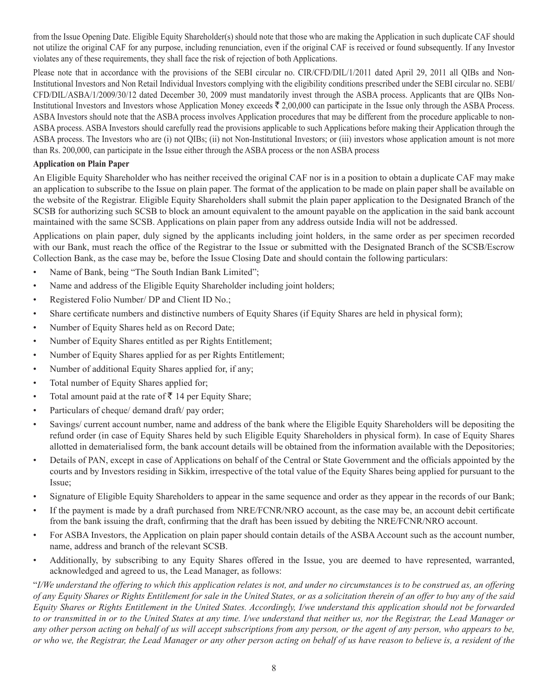from the Issue Opening Date. Eligible Equity Shareholder(s) should note that those who are making the Application in such duplicate CAF should not utilize the original CAF for any purpose, including renunciation, even if the original CAF is received or found subsequently. If any Investor violates any of these requirements, they shall face the risk of rejection of both Applications.

Please note that in accordance with the provisions of the SEBI circular no. CIR/CFD/DIL/1/2011 dated April 29, 2011 all QIBs and Non-Institutional Investors and Non Retail Individual Investors complying with the eligibility conditions prescribed under the SEBI circular no. SEBI/ CFD/DIL/ASBA/1/2009/30/12 dated December 30, 2009 must mandatorily invest through the ASBA process. Applicants that are QIBs Non-Institutional Investors and Investors whose Application Money exceeds  $\bar{\tau}$  2,00,000 can participate in the Issue only through the ASBA Process. ASBA Investors should note that the ASBA process involves Application procedures that may be different from the procedure applicable to non-ASBA process. ASBA Investors should carefully read the provisions applicable to such Applications before making their Application through the ASBA process. The Investors who are (i) not QIBs; (ii) not Non-Institutional Investors; or (iii) investors whose application amount is not more than Rs. 200,000, can participate in the Issue either through the ASBA process or the non ASBA process

### **Application on Plain Paper**

An Eligible Equity Shareholder who has neither received the original CAF nor is in a position to obtain a duplicate CAF may make an application to subscribe to the Issue on plain paper. The format of the application to be made on plain paper shall be available on the website of the Registrar. Eligible Equity Shareholders shall submit the plain paper application to the Designated Branch of the SCSB for authorizing such SCSB to block an amount equivalent to the amount payable on the application in the said bank account maintained with the same SCSB. Applications on plain paper from any address outside India will not be addressed.

Applications on plain paper, duly signed by the applicants including joint holders, in the same order as per specimen recorded with our Bank, must reach the office of the Registrar to the Issue or submitted with the Designated Branch of the SCSB/Escrow Collection Bank, as the case may be, before the Issue Closing Date and should contain the following particulars:

- Name of Bank, being "The South Indian Bank Limited";
- Name and address of the Eligible Equity Shareholder including joint holders;
- Registered Folio Number/ DP and Client ID No.;
- Share certificate numbers and distinctive numbers of Equity Shares (if Equity Shares are held in physical form);
- Number of Equity Shares held as on Record Date;
- Number of Equity Shares entitled as per Rights Entitlement;
- Number of Equity Shares applied for as per Rights Entitlement;
- Number of additional Equity Shares applied for, if any;
- Total number of Equity Shares applied for;
- Total amount paid at the rate of  $\bar{\tau}$  14 per Equity Share;
- Particulars of cheque/ demand draft/ pay order;
- Savings/ current account number, name and address of the bank where the Eligible Equity Shareholders will be depositing the refund order (in case of Equity Shares held by such Eligible Equity Shareholders in physical form). In case of Equity Shares allotted in dematerialised form, the bank account details will be obtained from the information available with the Depositories;
- Details of PAN, except in case of Applications on behalf of the Central or State Government and the officials appointed by the courts and by Investors residing in Sikkim, irrespective of the total value of the Equity Shares being applied for pursuant to the Issue;
- Signature of Eligible Equity Shareholders to appear in the same sequence and order as they appear in the records of our Bank;
- If the payment is made by a draft purchased from NRE/FCNR/NRO account, as the case may be, an account debit certificate from the bank issuing the draft, confirming that the draft has been issued by debiting the NRE/FCNR/NRO account.
- For ASBA Investors, the Application on plain paper should contain details of the ASBA Account such as the account number, name, address and branch of the relevant SCSB.
- Additionally, by subscribing to any Equity Shares offered in the Issue, you are deemed to have represented, warranted, acknowledged and agreed to us, the Lead Manager, as follows:

"*I/We understand the offering to which this application relates is not, and under no circumstances is to be construed as, an offering of any Equity Shares or Rights Entitlement for sale in the United States, or as a solicitation therein of an offer to buy any of the said Equity Shares or Rights Entitlement in the United States. Accordingly, I/we understand this application should not be forwarded to or transmitted in or to the United States at any time. I/we understand that neither us, nor the Registrar, the Lead Manager or any other person acting on behalf of us will accept subscriptions from any person, or the agent of any person, who appears to be, or who we, the Registrar, the Lead Manager or any other person acting on behalf of us have reason to believe is, a resident of the*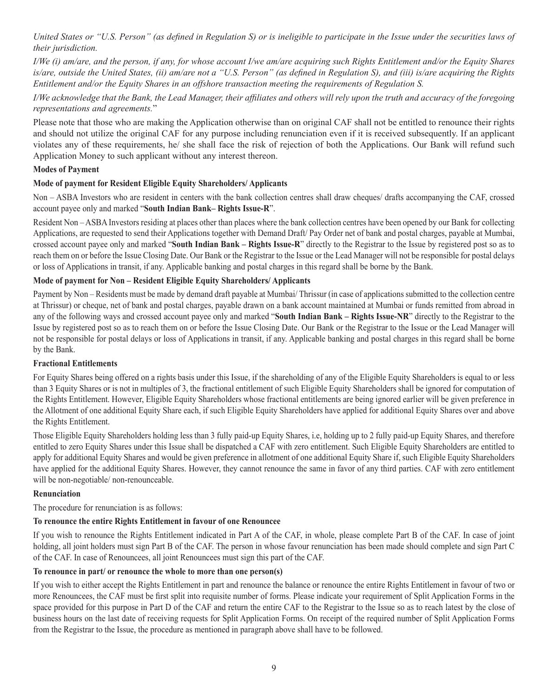*United States or "U.S. Person" (as defined in Regulation S) or is ineligible to participate in the Issue under the securities laws of their jurisdiction.*

*I/We (i) am/are, and the person, if any, for whose account I/we am/are acquiring such Rights Entitlement and/or the Equity Shares is/are, outside the United States, (ii) am/are not a "U.S. Person" (as defined in Regulation S), and (iii) is/are acquiring the Rights Entitlement and/or the Equity Shares in an offshore transaction meeting the requirements of Regulation S.*

### *I/We acknowledge that the Bank, the Lead Manager, their affiliates and others will rely upon the truth and accuracy of the foregoing representations and agreements.*"

Please note that those who are making the Application otherwise than on original CAF shall not be entitled to renounce their rights and should not utilize the original CAF for any purpose including renunciation even if it is received subsequently. If an applicant violates any of these requirements, he/ she shall face the risk of rejection of both the Applications. Our Bank will refund such Application Money to such applicant without any interest thereon.

### **Modes of Payment**

# **Mode of payment for Resident Eligible Equity Shareholders/ Applicants**

Non – ASBA Investors who are resident in centers with the bank collection centres shall draw cheques/ drafts accompanying the CAF, crossed account payee only and marked "**South Indian Bank– Rights Issue-R**".

Resident Non – ASBA Investors residing at places other than places where the bank collection centres have been opened by our Bank for collecting Applications, are requested to send their Applications together with Demand Draft/ Pay Order net of bank and postal charges, payable at Mumbai, crossed account payee only and marked "**South Indian Bank – Rights Issue-R**" directly to the Registrar to the Issue by registered post so as to reach them on or before the Issue Closing Date. Our Bank or the Registrar to the Issue or the Lead Manager will not be responsible for postal delays or loss of Applications in transit, if any. Applicable banking and postal charges in this regard shall be borne by the Bank.

# **Mode of payment for Non – Resident Eligible Equity Shareholders/ Applicants**

Payment by Non – Residents must be made by demand draft payable at Mumbai/ Thrissur (in case of applications submitted to the collection centre at Thrissur) or cheque, net of bank and postal charges, payable drawn on a bank account maintained at Mumbai or funds remitted from abroad in any of the following ways and crossed account payee only and marked "**South Indian Bank – Rights Issue-NR**" directly to the Registrar to the Issue by registered post so as to reach them on or before the Issue Closing Date. Our Bank or the Registrar to the Issue or the Lead Manager will not be responsible for postal delays or loss of Applications in transit, if any. Applicable banking and postal charges in this regard shall be borne by the Bank.

### **Fractional Entitlements**

For Equity Shares being offered on a rights basis under this Issue, if the shareholding of any of the Eligible Equity Shareholders is equal to or less than 3 Equity Shares or is not in multiples of 3, the fractional entitlement of such Eligible Equity Shareholders shall be ignored for computation of the Rights Entitlement. However, Eligible Equity Shareholders whose fractional entitlements are being ignored earlier will be given preference in the Allotment of one additional Equity Share each, if such Eligible Equity Shareholders have applied for additional Equity Shares over and above the Rights Entitlement.

Those Eligible Equity Shareholders holding less than 3 fully paid-up Equity Shares, i.e, holding up to 2 fully paid-up Equity Shares, and therefore entitled to zero Equity Shares under this Issue shall be dispatched a CAF with zero entitlement. Such Eligible Equity Shareholders are entitled to apply for additional Equity Shares and would be given preference in allotment of one additional Equity Share if, such Eligible Equity Shareholders have applied for the additional Equity Shares. However, they cannot renounce the same in favor of any third parties. CAF with zero entitlement will be non-negotiable/ non-renounceable.

### **Renunciation**

The procedure for renunciation is as follows:

### **To renounce the entire Rights Entitlement in favour of one Renouncee**

If you wish to renounce the Rights Entitlement indicated in Part A of the CAF, in whole, please complete Part B of the CAF. In case of joint holding, all joint holders must sign Part B of the CAF. The person in whose favour renunciation has been made should complete and sign Part C of the CAF. In case of Renouncees, all joint Renouncees must sign this part of the CAF.

#### **To renounce in part/ or renounce the whole to more than one person(s)**

If you wish to either accept the Rights Entitlement in part and renounce the balance or renounce the entire Rights Entitlement in favour of two or more Renouncees, the CAF must be first split into requisite number of forms. Please indicate your requirement of Split Application Forms in the space provided for this purpose in Part D of the CAF and return the entire CAF to the Registrar to the Issue so as to reach latest by the close of business hours on the last date of receiving requests for Split Application Forms. On receipt of the required number of Split Application Forms from the Registrar to the Issue, the procedure as mentioned in paragraph above shall have to be followed.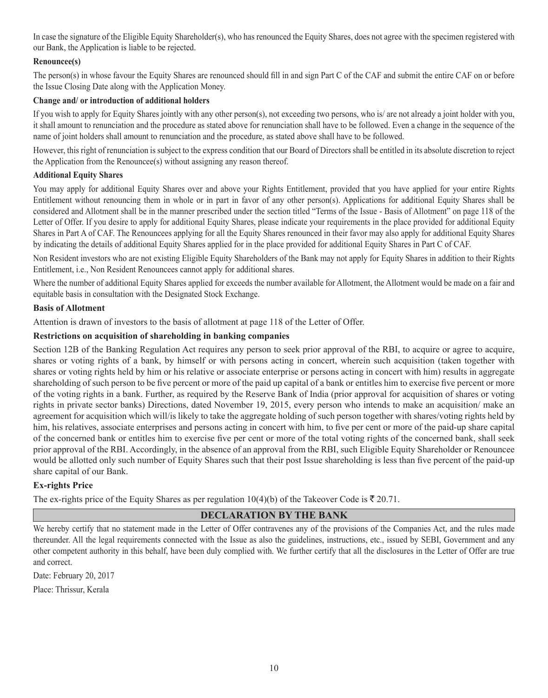In case the signature of the Eligible Equity Shareholder(s), who has renounced the Equity Shares, does not agree with the specimen registered with our Bank, the Application is liable to be rejected.

# **Renouncee(s)**

The person(s) in whose favour the Equity Shares are renounced should fill in and sign Part C of the CAF and submit the entire CAF on or before the Issue Closing Date along with the Application Money.

#### **Change and/ or introduction of additional holders**

If you wish to apply for Equity Shares jointly with any other person(s), not exceeding two persons, who is/ are not already a joint holder with you, it shall amount to renunciation and the procedure as stated above for renunciation shall have to be followed. Even a change in the sequence of the name of joint holders shall amount to renunciation and the procedure, as stated above shall have to be followed.

However, this right of renunciation is subject to the express condition that our Board of Directors shall be entitled in its absolute discretion to reject the Application from the Renouncee(s) without assigning any reason thereof.

### **Additional Equity Shares**

You may apply for additional Equity Shares over and above your Rights Entitlement, provided that you have applied for your entire Rights Entitlement without renouncing them in whole or in part in favor of any other person(s). Applications for additional Equity Shares shall be considered and Allotment shall be in the manner prescribed under the section titled "Terms of the Issue - Basis of Allotment" on page 118 of the Letter of Offer. If you desire to apply for additional Equity Shares, please indicate your requirements in the place provided for additional Equity Shares in Part A of CAF. The Renouncees applying for all the Equity Shares renounced in their favor may also apply for additional Equity Shares by indicating the details of additional Equity Shares applied for in the place provided for additional Equity Shares in Part C of CAF.

Non Resident investors who are not existing Eligible Equity Shareholders of the Bank may not apply for Equity Shares in addition to their Rights Entitlement, i.e., Non Resident Renouncees cannot apply for additional shares.

Where the number of additional Equity Shares applied for exceeds the number available for Allotment, the Allotment would be made on a fair and equitable basis in consultation with the Designated Stock Exchange.

#### **Basis of Allotment**

Attention is drawn of investors to the basis of allotment at page 118 of the Letter of Offer.

#### **Restrictions on acquisition of shareholding in banking companies**

Section 12B of the Banking Regulation Act requires any person to seek prior approval of the RBI, to acquire or agree to acquire, shares or voting rights of a bank, by himself or with persons acting in concert, wherein such acquisition (taken together with shares or voting rights held by him or his relative or associate enterprise or persons acting in concert with him) results in aggregate shareholding of such person to be five percent or more of the paid up capital of a bank or entitles him to exercise five percent or more of the voting rights in a bank. Further, as required by the Reserve Bank of India (prior approval for acquisition of shares or voting rights in private sector banks) Directions, dated November 19, 2015, every person who intends to make an acquisition/ make an agreement for acquisition which will/is likely to take the aggregate holding of such person together with shares/voting rights held by him, his relatives, associate enterprises and persons acting in concert with him, to five per cent or more of the paid-up share capital of the concerned bank or entitles him to exercise five per cent or more of the total voting rights of the concerned bank, shall seek prior approval of the RBI. Accordingly, in the absence of an approval from the RBI, such Eligible Equity Shareholder or Renouncee would be allotted only such number of Equity Shares such that their post Issue shareholding is less than five percent of the paid-up share capital of our Bank.

### **Ex-rights Price**

The ex-rights price of the Equity Shares as per regulation 10(4)(b) of the Takeover Code is  $\bar{\mathfrak{g}}$  20.71.

# **DECLARATION BY THE BANK**

We hereby certify that no statement made in the Letter of Offer contravenes any of the provisions of the Companies Act, and the rules made thereunder. All the legal requirements connected with the Issue as also the guidelines, instructions, etc., issued by SEBI, Government and any other competent authority in this behalf, have been duly complied with. We further certify that all the disclosures in the Letter of Offer are true and correct.

Date: February 20, 2017 Place: Thrissur, Kerala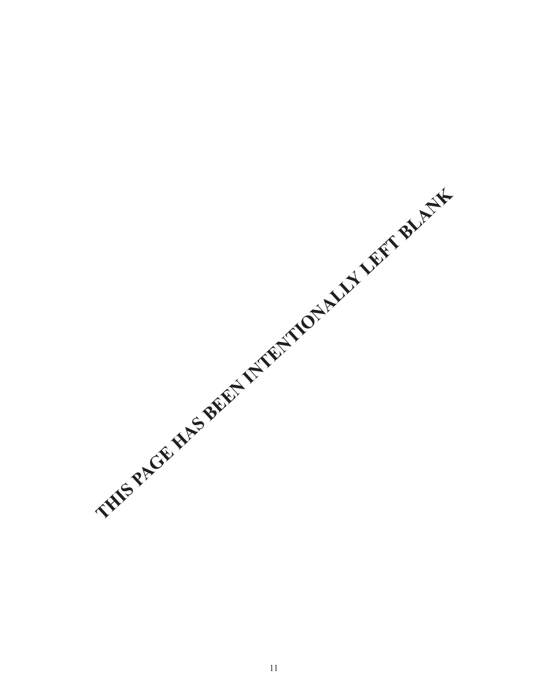**THIS PAGE HAS BEEN INTENTIONALLY LEFT BLANK**